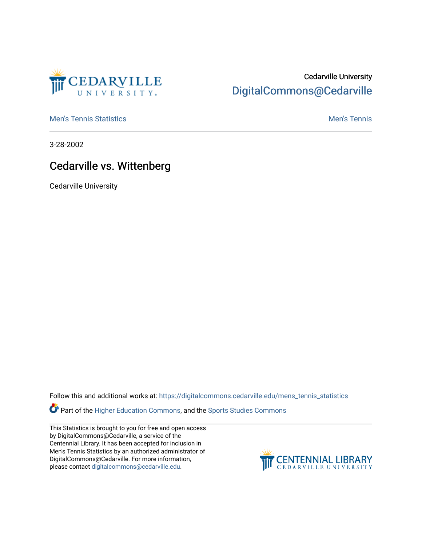

## Cedarville University [DigitalCommons@Cedarville](https://digitalcommons.cedarville.edu/)

**[Men's Tennis Statistics](https://digitalcommons.cedarville.edu/mens_tennis_statistics) Mental According to the Control of Control According Mental Men's Tennis** 

3-28-2002

## Cedarville vs. Wittenberg

Cedarville University

Follow this and additional works at: [https://digitalcommons.cedarville.edu/mens\\_tennis\\_statistics](https://digitalcommons.cedarville.edu/mens_tennis_statistics?utm_source=digitalcommons.cedarville.edu%2Fmens_tennis_statistics%2F519&utm_medium=PDF&utm_campaign=PDFCoverPages)

Part of the [Higher Education Commons,](http://network.bepress.com/hgg/discipline/1245?utm_source=digitalcommons.cedarville.edu%2Fmens_tennis_statistics%2F519&utm_medium=PDF&utm_campaign=PDFCoverPages) and the [Sports Studies Commons](http://network.bepress.com/hgg/discipline/1198?utm_source=digitalcommons.cedarville.edu%2Fmens_tennis_statistics%2F519&utm_medium=PDF&utm_campaign=PDFCoverPages) 

This Statistics is brought to you for free and open access by DigitalCommons@Cedarville, a service of the Centennial Library. It has been accepted for inclusion in Men's Tennis Statistics by an authorized administrator of DigitalCommons@Cedarville. For more information, please contact [digitalcommons@cedarville.edu](mailto:digitalcommons@cedarville.edu).